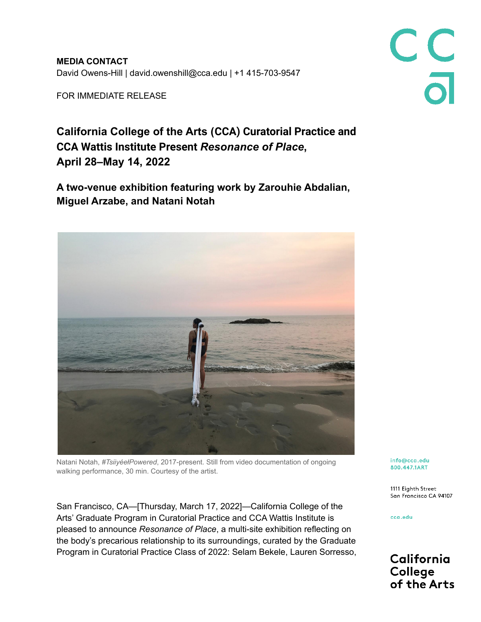**MEDIA CONTACT** David Owens-Hill | david.owenshill@cca.edu | +1 415-703-9547

FOR IMMEDIATE RELEASE

# **California College of the Arts (CCA) Curatorial Practice and CCA Wattis Institute Present** *Resonance of Place***, April 28–May 14, 2022**

**A two-venue exhibition featuring work by Zarouhie Abdalian, Miguel Arzabe, and Natani Notah**



Natani Notah, *#TsiiyéełPowered*, 2017-present. Still from video documentation of ongoing walking performance, 30 min. Courtesy of the artist.

San Francisco, CA—[Thursday, March 17, 2022]—California College of the Arts' Graduate Program in Curatorial Practice and CCA Wattis Institute is pleased to announce *Resonance of Place*, a multi-site exhibition reflecting on the body's precarious relationship to its surroundings, curated by the Graduate Program in Curatorial Practice Class of 2022: Selam Bekele, Lauren Sorresso,

info@cca.edu 800.447.1ART

1111 Eighth Street San Francisco CA 94107

C<br>C<br>a

cca.edu

California College of the Arts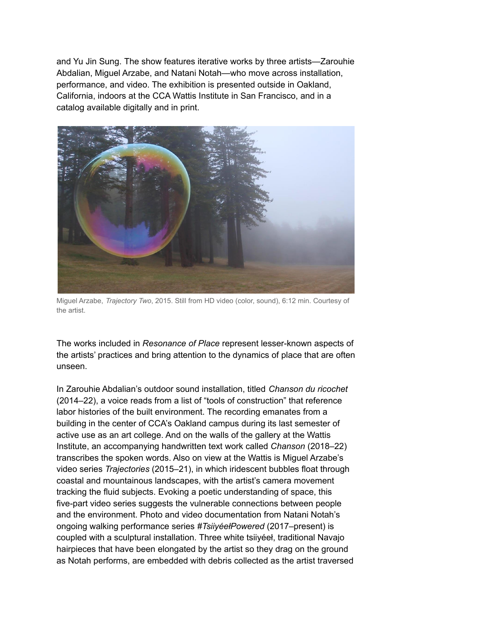and Yu Jin Sung. The show features iterative works by three artists—Zarouhie Abdalian, Miguel Arzabe, and Natani Notah—who move across installation, performance, and video. The exhibition is presented outside in Oakland, California, indoors at the CCA Wattis Institute in San Francisco, and in a catalog available digitally and in print.



Miguel Arzabe, *Trajectory Two*, 2015. Still from HD video (color, sound), 6:12 min. Courtesy of the artist.

The works included in *Resonance of Place* represent lesser-known aspects of the artists' practices and bring attention to the dynamics of place that are often unseen.

In Zarouhie Abdalian's outdoor sound installation, titled *Chanson du ricochet* (2014–22), a voice reads from a list of "tools of construction" that reference labor histories of the built environment. The recording emanates from a building in the center of CCA's Oakland campus during its last semester of active use as an art college. And on the walls of the gallery at the Wattis Institute, an accompanying handwritten text work called *Chanson* (2018–22) transcribes the spoken words. Also on view at the Wattis is Miguel Arzabe's video series *Trajectories* (2015–21), in which iridescent bubbles float through coastal and mountainous landscapes, with the artist's camera movement tracking the fluid subjects. Evoking a poetic understanding of space, this five-part video series suggests the vulnerable connections between people and the environment. Photo and video documentation from Natani Notah's ongoing walking performance series *#TsiiyéełPowered* (2017–present) is coupled with a sculptural installation. Three white tsiiyéeł, traditional Navajo hairpieces that have been elongated by the artist so they drag on the ground as Notah performs, are embedded with debris collected as the artist traversed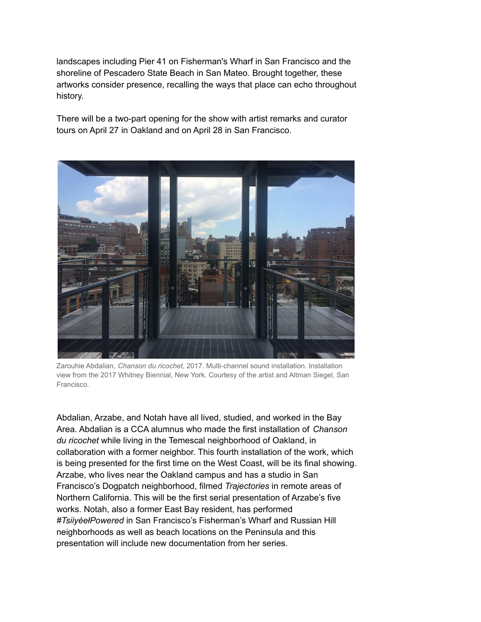landscapes including Pier 41 on Fisherman's Wharf in San Francisco and the shoreline of Pescadero State Beach in San Mateo. Brought together, these artworks consider presence, recalling the ways that place can echo throughout history.

There will be a two-part opening for the show with artist remarks and curator tours on April 27 in Oakland and on April 28 in San Francisco.



Zarouhie Abdalian, *Chanson du ricochet*, 2017. Multi-channel sound installation. Installation view from the 2017 Whitney Biennial, New York. Courtesy of the artist and Altman Siegel, San Francisco.

Abdalian, Arzabe, and Notah have all lived, studied, and worked in the Bay Area. Abdalian is a CCA alumnus who made the first installation of *Chanson du ricochet* while living in the Temescal neighborhood of Oakland, in collaboration with a former neighbor. This fourth installation of the work, which is being presented for the first time on the West Coast, will be its final showing. Arzabe, who lives near the Oakland campus and has a studio in San Francisco's Dogpatch neighborhood, filmed *Trajectories* in remote areas of Northern California. This will be the first serial presentation of Arzabe's five works. Notah, also a former East Bay resident, has performed *#TsiiyéełPowered* in San Francisco's Fisherman's Wharf and Russian Hill neighborhoods as well as beach locations on the Peninsula and this presentation will include new documentation from her series.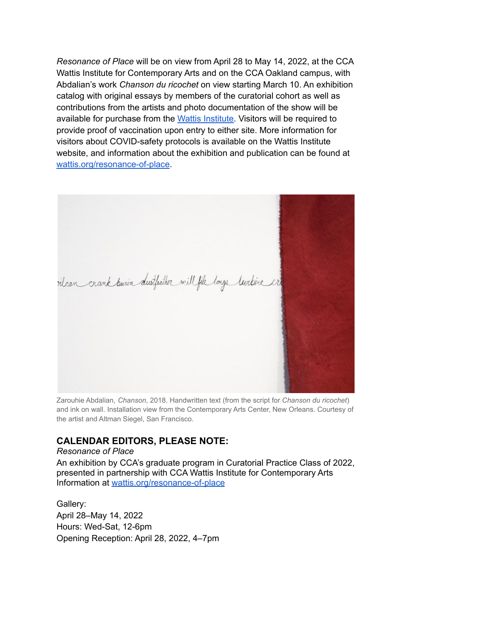*Resonance of Place* will be on view from April 28 to May 14, 2022, at the CCA Wattis Institute for Contemporary Arts and on the CCA Oakland campus, with Abdalian's work *Chanson du ricochet* on view starting March 10. An exhibition catalog with original essays by members of the curatorial cohort as well as contributions from the artists and photo documentation of the show will be available for purchase from the Wattis [Institute.](https://wattis.org/buy-catalogues) Visitors will be required to provide proof of vaccination upon entry to either site. More information for visitors about COVID-safety protocols is available on the Wattis Institute website, and information about the exhibition and publication can be found at [wattis.org/resonance-of-place](http://wattis.org/resonance-of-place).



Zarouhie Abdalian, *Chanson*, 2018. Handwritten text (from the script for *Chanson du ricochet*) and ink on wall. Installation view from the Contemporary Arts Center, New Orleans. Courtesy of the artist and Altman Siegel, San Francisco.

## **CALENDAR EDITORS, PLEASE NOTE:**

*Resonance of Place* An exhibition by CCA's graduate program in Curatorial Practice Class of 2022, presented in partnership with CCA Wattis Institute for Contemporary Arts Information at [wattis.org/resonance-of-place](http://wattis.org/resonance-of-place)

Gallery: April 28–May 14, 2022 Hours: Wed-Sat, 12-6pm Opening Reception: April 28, 2022, 4–7pm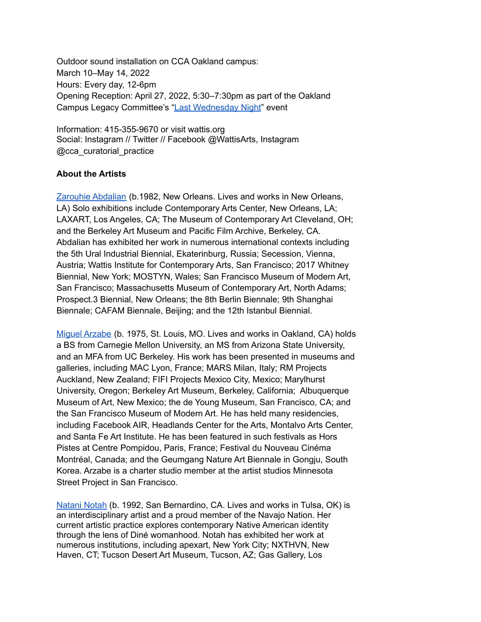Outdoor sound installation on CCA Oakland campus: March 10–May 14, 2022 Hours: Every day, 12-6pm Opening Reception: April 27, 2022, 5:30–7:30pm as part of the Oakland Campus Legacy Committee's "Last [Wednesday](https://portal.cca.edu/events-calendar/last-wednesday-night-1/) Night" event

Information: 415-355-9670 or visit wattis.org Social: Instagram // Twitter // Facebook @WattisArts, Instagram @cca\_curatorial\_practice

## **About the Artists**

[Zarouhie](https://zarouhie.com/) Abdalian (b.1982, New Orleans. Lives and works in New Orleans, LA) Solo exhibitions include Contemporary Arts Center, New Orleans, LA; LAXART, Los Angeles, CA; The Museum of Contemporary Art Cleveland, OH; and the Berkeley Art Museum and Pacific Film Archive, Berkeley, CA. Abdalian has exhibited her work in numerous international contexts including the 5th Ural Industrial Biennial, Ekaterinburg, Russia; Secession, Vienna, Austria; Wattis Institute for Contemporary Arts, San Francisco; 2017 Whitney Biennial, New York; MOSTYN, Wales; San Francisco Museum of Modern Art, San Francisco; Massachusetts Museum of Contemporary Art, North Adams; Prospect.3 Biennial, New Orleans; the 8th Berlin Biennale; 9th Shanghai Biennale; CAFAM Biennale, Beijing; and the 12th Istanbul Biennial.

Miguel [Arzabe](http://www.miguelarzabe.net/) (b. 1975, St. Louis, MO. Lives and works in Oakland, CA) holds a BS from Carnegie Mellon University, an MS from Arizona State University, and an MFA from UC Berkeley. His work has been presented in museums and galleries, including MAC Lyon, France; MARS Milan, Italy; RM Projects Auckland, New Zealand; FIFI Projects Mexico City, Mexico; Marylhurst University, Oregon; Berkeley Art Museum, Berkeley, California; Albuquerque Museum of Art, New Mexico; the de Young Museum, San Francisco, CA; and the San Francisco Museum of Modern Art. He has held many residencies, including Facebook AIR, Headlands Center for the Arts, Montalvo Arts Center, and Santa Fe Art Institute. He has been featured in such festivals as Hors Pistes at Centre Pompidou, Paris, France; Festival du Nouveau Cinéma Montréal, Canada; and the Geumgang Nature Art Biennale in Gongju, South Korea. Arzabe is a charter studio member at the artist studios Minnesota Street Project in San Francisco.

[Natani](http://www.nataninotah.com/) Notah (b. 1992, San Bernardino, CA. Lives and works in Tulsa, OK) is an interdisciplinary artist and a proud member of the Navajo Nation. Her current artistic practice explores contemporary Native American identity through the lens of Diné womanhood. Notah has exhibited her work at numerous institutions, including apexart, New York City; NXTHVN, New Haven, CT; Tucson Desert Art Museum, Tucson, AZ; Gas Gallery, Los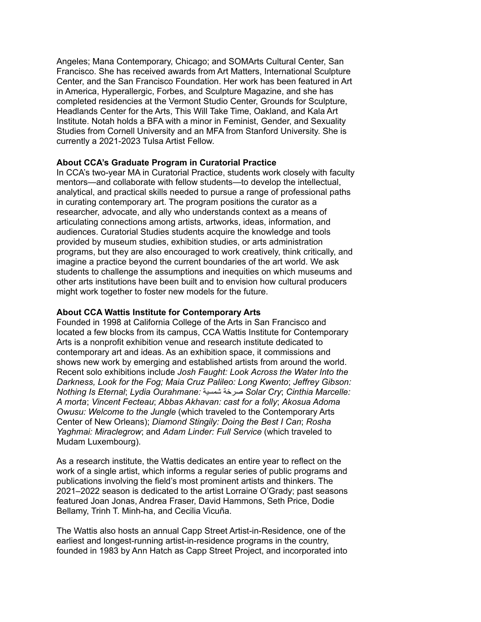Angeles; Mana Contemporary, Chicago; and SOMArts Cultural Center, San Francisco. She has received awards from Art Matters, International Sculpture Center, and the San Francisco Foundation. Her work has been featured in Art in America, Hyperallergic, Forbes, and Sculpture Magazine, and she has completed residencies at the Vermont Studio Center, Grounds for Sculpture, Headlands Center for the Arts, This Will Take Time, Oakland, and Kala Art Institute. Notah holds a BFA with a minor in Feminist, Gender, and Sexuality Studies from Cornell University and an MFA from Stanford University. She is currently a 2021-2023 Tulsa Artist Fellow.

### **About CCA's Graduate Program in Curatorial Practice**

In CCA's two-year MA in Curatorial Practice, students work closely with faculty mentors—and collaborate with fellow students—to develop the intellectual, analytical, and practical skills needed to pursue a range of professional paths in curating contemporary art. The program positions the curator as a researcher, advocate, and ally who understands context as a means of articulating connections among artists, artworks, ideas, information, and audiences. Curatorial Studies students acquire the knowledge and tools provided by museum studies, exhibition studies, or arts administration programs, but they are also encouraged to work creatively, think critically, and imagine a practice beyond the current boundaries of the art world. We ask students to challenge the assumptions and inequities on which museums and other arts institutions have been built and to envision how cultural producers might work together to foster new models for the future.

#### **About CCA Wattis Institute for Contemporary Arts**

Founded in 1998 at California College of the Arts in San Francisco and located a few blocks from its campus, CCA Wattis Institute for Contemporary Arts is a nonprofit exhibition venue and research institute dedicated to contemporary art and ideas. As an exhibition space, it commissions and shows new work by emerging and established artists from around the world. Recent solo exhibitions include *Josh Faught: Look Across the Water Into the Darkness, Look for the Fog; Maia Cruz Palileo: Long Kwento*; *Jeffrey Gibson: Nothing Is Eternal*; *Lydia Ourahmane:* شمسية صرخة *Solar Cry*; *Cinthia Marcelle: A morta*; *Vincent Fecteau*; *Abbas Akhavan: cast for a folly*; *Akosua Adoma Owusu: Welcome to the Jungle* (which traveled to the Contemporary Arts Center of New Orleans); *Diamond Stingily: Doing the Best I Can*; *Rosha Yaghmai: Miraclegrow*; and *Adam Linder: Full Service* (which traveled to Mudam Luxembourg).

As a research institute, the Wattis dedicates an entire year to reflect on the work of a single artist, which informs a regular series of public programs and publications involving the field's most prominent artists and thinkers. The 2021–2022 season is dedicated to the artist Lorraine O'Grady; past seasons featured Joan Jonas, Andrea Fraser, David Hammons, Seth Price, Dodie Bellamy, Trinh T. Minh-ha, and Cecilia Vicuña.

The Wattis also hosts an annual Capp Street Artist-in-Residence, one of the earliest and longest-running artist-in-residence programs in the country, founded in 1983 by Ann Hatch as Capp Street Project, and incorporated into